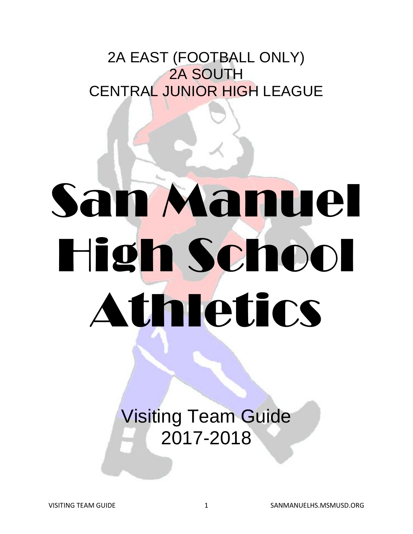## 2A EAST (FOOTBALL ONLY) 2A SOUTH CENTRAL JUNIOR HIGH LEAGUE

# San Manuel High School Athletics

Visiting Team Guide 2017-2018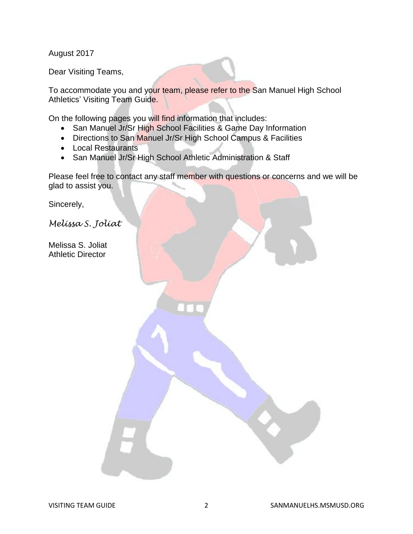August 2017

Dear Visiting Teams,

To accommodate you and your team, please refer to the San Manuel High School Athletics' Visiting Team Guide.

On the following pages you will find information that includes:

- San Manuel Jr/Sr High School Facilities & Game Day Information
- Directions to San Manuel Jr/Sr High School Campus & Facilities
- Local Restaurants
- San Manuel Jr/Sr High School Athletic Administration & Staff

Please feel free to contact any staff member with questions or concerns and we will be glad to assist you.

Sincerely,

*Melissa S. Joliat*

Melissa S. Joliat Athletic Director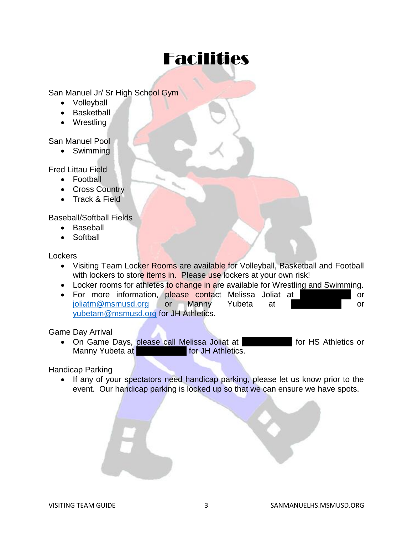## Facilities

San Manuel Jr/ Sr High School Gym

- Volleyball
- Basketball
- Wrestling

#### San Manuel Pool

Swimming

Fred Littau Field

- Football
- Cross Country
- Track & Field

Baseball/Softball Fields

- Baseball
- Softball

**Lockers** 

- Visiting Team Locker Rooms are available for Volleyball, Basketball and Football with lockers to store *items* in. Please use lockers at your own risk!
- Locker rooms for athletes to change in are available for Wrestling and Swimming.
- For more information, please contact Melissa Joliat at 520-437-3000 [joliatm@msmusd.org](mailto:joliatm@msmusd.org) or Manny Yubeta at 520-2250 or [yubetam@msmusd.org](mailto:yubetam@msmusd.org) for JH Athletics.

Game Day Arrival

• On Game Days, please call Melissa Joliat at 520-437-437-5692 for HS Athletics or Manny Yubeta at 520-2251-2255 for JH Athletics.

Handicap Parking

• If any of your spectators need handicap parking, please let us know prior to the event. Our handicap parking is locked up so that we can ensure we have spots.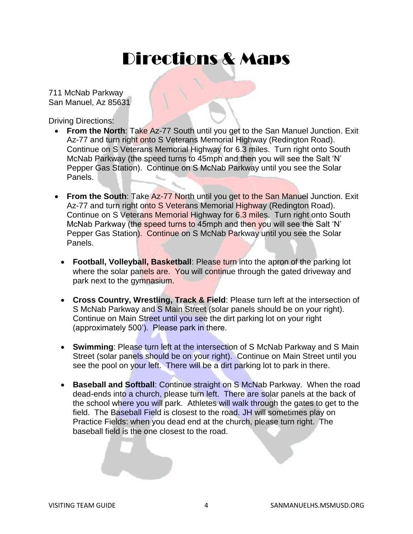## Directions & Maps

711 McNab Parkway San Manuel, Az 85631

Driving Directions:

- **From the North**: Take Az-77 South until you get to the San Manuel Junction. Exit Az-77 and turn right onto S Veterans Memorial Highway (Redington Road). Continue on S Veterans Memorial Highway for 6.3 miles. Turn right onto South McNab Parkway (the speed turns to 45mph and then you will see the Salt 'N' Pepper Gas Station). Continue on S McNab Parkway until you see the Solar Panels.
- **From the South:** Take Az-77 North until you get to the San Manuel Junction. Exit Az-77 and turn right onto S Veterans Memorial Highway (Redington Road). Continue on S Veterans Memorial Highway for 6.3 miles. Turn right onto South McNab Parkway (the speed turns to 45mph and then you will see the Salt 'N' Pepper Gas Station). Continue on S McNab Parkway until you see the Solar Panels.
	- **Football, Volleyball, Basketball**: Please turn into the apron of the parking lot where the solar panels are. You will continue through the gated driveway and park next to the gymnasium.
	- **Cross Country, Wrestling, Track & Field: Please turn left at the intersection of** S McNab Parkway and S Main Street (solar panels should be on your right). Continue on Main Street until you see the dirt parking lot on your right (approximately 500'). Please park in there.
	- **Swimming**: Please turn left at the intersection of S McNab Parkway and S Main Street (solar panels should be on your right). Continue on Main Street until you see the pool on your left. There will be a dirt parking lot to park in there.
	- **Baseball and Softball**: Continue straight on S McNab Parkway. When the road dead-ends into a church, please turn left. There are solar panels at the back of the school where you will park. Athletes will walk through the gates to get to the field. The Baseball Field is closest to the road. JH will sometimes play on Practice Fields: when you dead end at the church, please turn right. The baseball field is the one closest to the road.

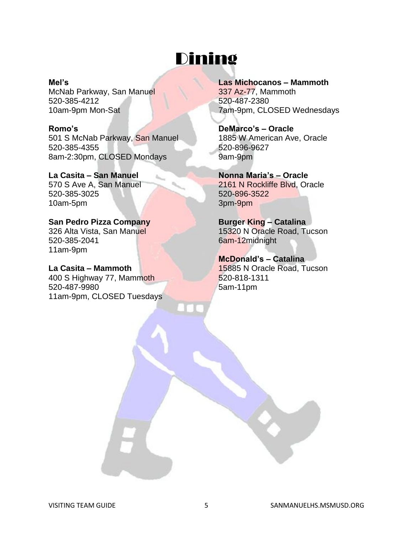## Dining

#### **Mel's**

McNab Parkway, San Manuel 520-385-4212 10am-9pm Mon-Sat

#### **Romo's**

501 S McNab Parkway, San Manuel 520-385-4355 8am-2:30pm, CLOSED Mondays

#### **La Casita – San Manuel** 570 S Ave A, San Manuel

520-385-3025 10am-5pm

#### **San Pedro Pizza Company** 326 Alta Vista, San Manuel 520-385-2041 11am-9pm

**La Casita – Mammoth** 400 S Highway 77, Mammoth 520-487-9980 11am-9pm, CLOSED Tuesdays

#### **Las Michocanos – Mammoth**  337 Az-77, Mammoth 520-487-2380 7am-9pm, CLOSED Wednesdays

**DeMarco's – Oracle** 1885 W American Ave, Oracle 520-896-9627 9am-9pm

**Nonna Maria's – Oracle** 2161 N Rockliffe Blvd, Oracle 520-896-3522 3pm-9pm

**Burger King – Catalina** 15320 N Oracle Road, Tucson 6am-12midnight

**McDonald's – Catalina** 15885 N Oracle Road, Tucson 520-818-1311 5am-11pm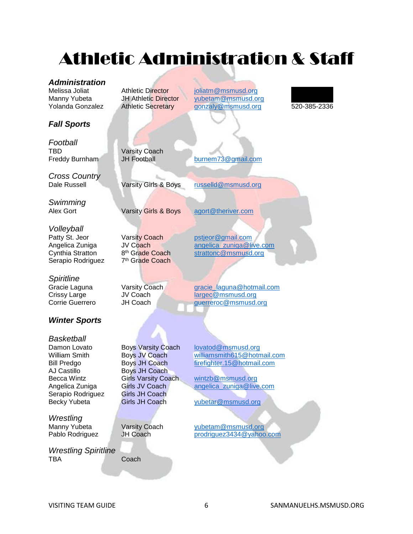## Athletic Administration & Staff

#### *Administration*

### *Fall Sports*

*Football* TBD **Varsity Coach** 

*Cross Country*

*Swimming*

*Volleyball* Patty St. Jeor Varsity Coach [pstjeor@gmail.com](mailto:pstjeor@gmail.com) Cynthia Stratton Serapio Rodriguez

*Spiritline*

#### *Winter Sports*

*Basketball* AJ Castillo Boys JH Coach<br>Becca Wintz Girls Varsity Coach Angelica Zuniga Girls JV Coach [angelica\\_zuniga@live.com](mailto:angelica_zuniga@live.com)<br>Serapio Rodriguez Girls JH Coach Serapio Rodriguez Girls JH Coach<br>Becky Yubeta Girls JH Coach

*Wrestling*

*Wrestling Spiritline* TBA Coach

Melissa Joliat **Athletic Director** ioliatm@msmusd.org Manny Yubeta JH Athletic Director vubetam@msmusd.org<br>1920-Yolanda Gonzalez Athletic Secretary approach@msmusd.org Athletic Secretary [gonzaly@msmusd.org](mailto:gonzaly@msmusd.org) 520-385-2336



Freddy Burnham JH Football [burnem73@gmail.com](mailto:burnem73@gmail.com)

Dale Russell **Varsity Girls & Boys** [russelld@msmusd.org](mailto:russelld@msmusd.org)

Alex Gort **Varsity Girls & Boys** [agort@theriver.com](mailto:agort@theriver.com)

7<sup>th</sup> Grade Coach

Angelica Zuniga diversion of the Coach angelica zuniga@live.com<br>
Cynthia Stratton a<sup>th</sup> Grade Coach and strattonc@msmusd.org [strattonc@msmusd.org](mailto:strattonc@msmusd.org)

Gracie Laguna **Varsity Coach Coach [gracie\\_laguna@hotmail.com](mailto:gracie_laguna@hotmail.com)** Crissy Large JV Coach [largec@msmusd.org](mailto:largec@msmusd.org) Corrie Guerrero JH Coach [guerreroc@msmusd.org](mailto:guerreroc@msmusd.org)

Damon Lovato Boys Varsity Coach [lovatod@msmusd.org](mailto:lovatod@msmusd.org) William Smith Boys JV Coach [williamsmith615@hotmail.com](mailto:williamsmith615@hotmail.com) Bill Predgo Boys JH Coach [firefighter.15@hotmail.com](mailto:firefighter.15@hotmail.com)<br>AJ Castillo Boys JH Coach [wintzb@msmusd.org](mailto:wintzb@msmusd.org)

[yubetar@msmusd.org](mailto:yubetar@msmusd.org)

Varsity Coach [yubetam@msmusd.org](mailto:yubetam@msmusd.org) Pablo Rodriguez JH Coach [prodriguez3434@yahoo.com](mailto:prodriguez3434@yahoo.com)